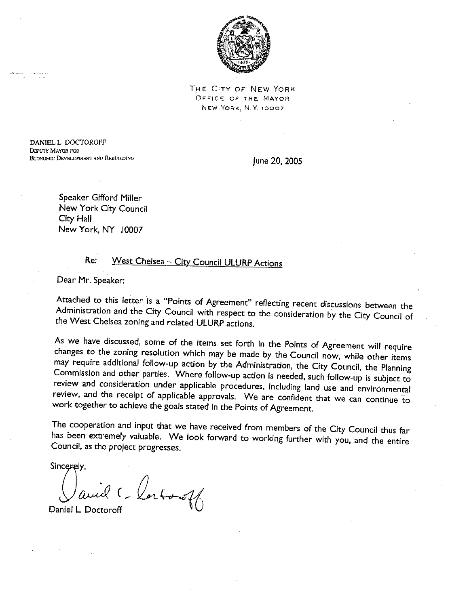

THE CITY OF NEW YORK OFFICE OF THE MAYOR NEW YORK, N.Y. 10007

DANIEL L. DOCTOROFF **DEPUTY MAYOR FOR ECONOMIC DEVELOPMENT AND REBUILDING** 

June 20, 2005

Speaker Gifford Miller New York City Council City Hall New York, NY 10007

#### West Chelsea - City Council ULURP Actions Re:

Dear Mr. Speaker:

Attached to this letter is a "Points of Agreement" reflecting recent discussions between the Administration and the City Council with respect to the consideration by the City Council of the West Chelsea zoning and related ULURP actions.

As we have discussed, some of the items set forth in the Points of Agreement will require changes to the zoning resolution which may be made by the Council now, while other items may require additional follow-up action by the Administration, the City Council, the Planning Commission and other parties. Where follow-up action is needed, such follow-up is subject to review and consideration under applicable procedures, including land use and environmental review, and the receipt of applicable approvals. We are confident that we can continue to work together to achieve the goals stated in the Points of Agreement.

The cooperation and input that we have received from members of the City Council thus far has been extremely valuable. We look forward to working further with you, and the entire Council, as the project progresses.

Sincerely.

and Charloroff

Daniel L. Doctoroff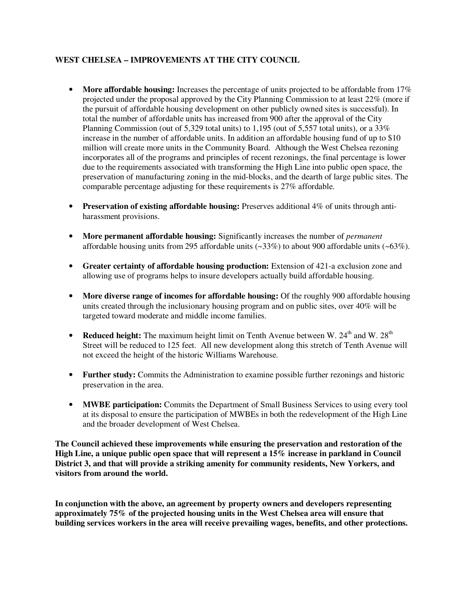# **WEST CHELSEA – IMPROVEMENTS AT THE CITY COUNCIL**

- More affordable housing: Increases the percentage of units projected to be affordable from 17% projected under the proposal approved by the City Planning Commission to at least 22% (more if the pursuit of affordable housing development on other publicly owned sites is successful). In total the number of affordable units has increased from 900 after the approval of the City Planning Commission (out of 5,329 total units) to 1,195 (out of 5,557 total units), or a 33% increase in the number of affordable units. In addition an affordable housing fund of up to \$10 million will create more units in the Community Board. Although the West Chelsea rezoning incorporates all of the programs and principles of recent rezonings, the final percentage is lower due to the requirements associated with transforming the High Line into public open space, the preservation of manufacturing zoning in the mid-blocks, and the dearth of large public sites. The comparable percentage adjusting for these requirements is 27% affordable.
- **Preservation of existing affordable housing:** Preserves additional 4% of units through antiharassment provisions.
- **More permanent affordable housing:** Significantly increases the number of *permanent*  affordable housing units from 295 affordable units (~33%) to about 900 affordable units (~63%).
- **Greater certainty of affordable housing production:** Extension of 421-a exclusion zone and allowing use of programs helps to insure developers actually build affordable housing.
- More diverse range of incomes for affordable housing: Of the roughly 900 affordable housing units created through the inclusionary housing program and on public sites, over 40% will be targeted toward moderate and middle income families.
- **Reduced height:** The maximum height limit on Tenth Avenue between W. 24<sup>th</sup> and W. 28<sup>th</sup> Street will be reduced to 125 feet. All new development along this stretch of Tenth Avenue will not exceed the height of the historic Williams Warehouse.
- **Further study:** Commits the Administration to examine possible further rezonings and historic preservation in the area.
- **MWBE participation:** Commits the Department of Small Business Services to using every tool at its disposal to ensure the participation of MWBEs in both the redevelopment of the High Line and the broader development of West Chelsea.

**The Council achieved these improvements while ensuring the preservation and restoration of the High Line, a unique public open space that will represent a 15% increase in parkland in Council District 3, and that will provide a striking amenity for community residents, New Yorkers, and visitors from around the world.** 

**In conjunction with the above, an agreement by property owners and developers representing approximately 75% of the projected housing units in the West Chelsea area will ensure that building services workers in the area will receive prevailing wages, benefits, and other protections.**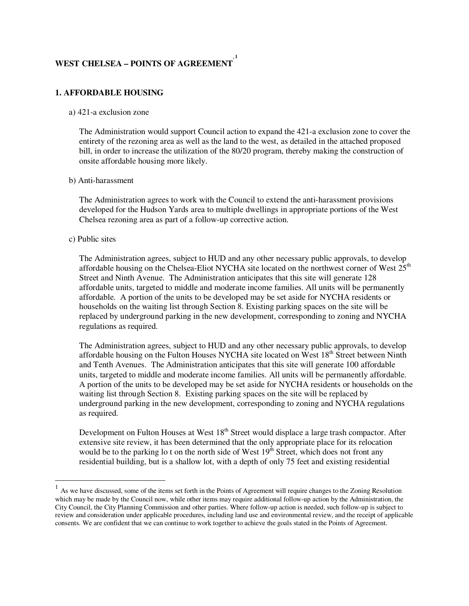#### **WEST CHELSEA – POINTS OF AGREEMENT \* 1**

# **1. AFFORDABLE HOUSING**

#### a) 421-a exclusion zone

The Administration would support Council action to expand the 421-a exclusion zone to cover the entirety of the rezoning area as well as the land to the west, as detailed in the attached proposed bill, in order to increase the utilization of the 80/20 program, thereby making the construction of onsite affordable housing more likely.

### b) Anti-harassment

The Administration agrees to work with the Council to extend the anti-harassment provisions developed for the Hudson Yards area to multiple dwellings in appropriate portions of the West Chelsea rezoning area as part of a follow-up corrective action.

### c) Public sites

l

The Administration agrees, subject to HUD and any other necessary public approvals, to develop affordable housing on the Chelsea-Eliot NYCHA site located on the northwest corner of West  $25<sup>th</sup>$ Street and Ninth Avenue. The Administration anticipates that this site will generate 128 affordable units, targeted to middle and moderate income families. All units will be permanently affordable. A portion of the units to be developed may be set aside for NYCHA residents or households on the waiting list through Section 8. Existing parking spaces on the site will be replaced by underground parking in the new development, corresponding to zoning and NYCHA regulations as required.

The Administration agrees, subject to HUD and any other necessary public approvals, to develop affordable housing on the Fulton Houses NYCHA site located on West 18<sup>th</sup> Street between Ninth and Tenth Avenues. The Administration anticipates that this site will generate 100 affordable units, targeted to middle and moderate income families. All units will be permanently affordable. A portion of the units to be developed may be set aside for NYCHA residents or households on the waiting list through Section 8. Existing parking spaces on the site will be replaced by underground parking in the new development, corresponding to zoning and NYCHA regulations as required.

Development on Fulton Houses at West 18<sup>th</sup> Street would displace a large trash compactor. After extensive site review, it has been determined that the only appropriate place for its relocation would be to the parking lo t on the north side of West 19<sup>th</sup> Street, which does not front any residential building, but is a shallow lot, with a depth of only 75 feet and existing residential

<sup>1</sup> As we have discussed, some of the items set forth in the Points of Agreement will require changes to the Zoning Resolution which may be made by the Council now, while other items may require additional follow-up action by the Administration, the City Council, the City Planning Commission and other parties. Where follow-up action is needed, such follow-up is subject to review and consideration under applicable procedures, including land use and environmental review, and the receipt of applicable consents. We are confident that we can continue to work together to achieve the goals stated in the Points of Agreement.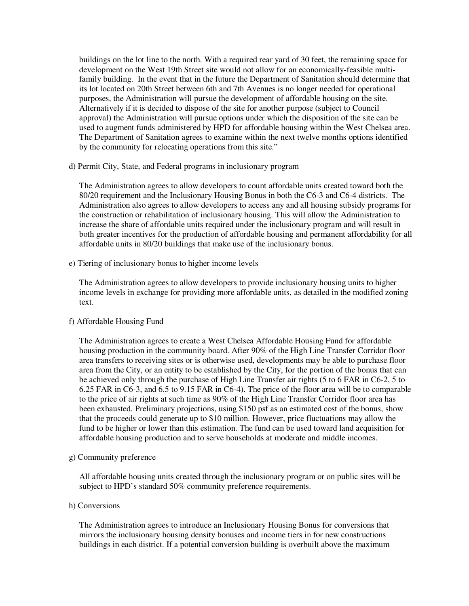buildings on the lot line to the north. With a required rear yard of 30 feet, the remaining space for development on the West 19th Street site would not allow for an economically-feasible multifamily building. In the event that in the future the Department of Sanitation should determine that its lot located on 20th Street between 6th and 7th Avenues is no longer needed for operational purposes, the Administration will pursue the development of affordable housing on the site. Alternatively if it is decided to dispose of the site for another purpose (subject to Council approval) the Administration will pursue options under which the disposition of the site can be used to augment funds administered by HPD for affordable housing within the West Chelsea area. The Department of Sanitation agrees to examine within the next twelve months options identified by the community for relocating operations from this site."

d) Permit City, State, and Federal programs in inclusionary program

The Administration agrees to allow developers to count affordable units created toward both the 80/20 requirement and the Inclusionary Housing Bonus in both the C6-3 and C6-4 districts. The Administration also agrees to allow developers to access any and all housing subsidy programs for the construction or rehabilitation of inclusionary housing. This will allow the Administration to increase the share of affordable units required under the inclusionary program and will result in both greater incentives for the production of affordable housing and permanent affordability for all affordable units in 80/20 buildings that make use of the inclusionary bonus.

e) Tiering of inclusionary bonus to higher income levels

The Administration agrees to allow developers to provide inclusionary housing units to higher income levels in exchange for providing more affordable units, as detailed in the modified zoning text.

# f) Affordable Housing Fund

The Administration agrees to create a West Chelsea Affordable Housing Fund for affordable housing production in the community board. After 90% of the High Line Transfer Corridor floor area transfers to receiving sites or is otherwise used, developments may be able to purchase floor area from the City, or an entity to be established by the City, for the portion of the bonus that can be achieved only through the purchase of High Line Transfer air rights (5 to 6 FAR in C6-2, 5 to 6.25 FAR in C6-3, and 6.5 to 9.15 FAR in C6-4). The price of the floor area will be to comparable to the price of air rights at such time as 90% of the High Line Transfer Corridor floor area has been exhausted. Preliminary projections, using \$150 psf as an estimated cost of the bonus, show that the proceeds could generate up to \$10 million. However, price fluctuations may allow the fund to be higher or lower than this estimation. The fund can be used toward land acquisition for affordable housing production and to serve households at moderate and middle incomes.

g) Community preference

All affordable housing units created through the inclusionary program or on public sites will be subject to HPD's standard 50% community preference requirements.

h) Conversions

The Administration agrees to introduce an Inclusionary Housing Bonus for conversions that mirrors the inclusionary housing density bonuses and income tiers in for new constructions buildings in each district. If a potential conversion building is overbuilt above the maximum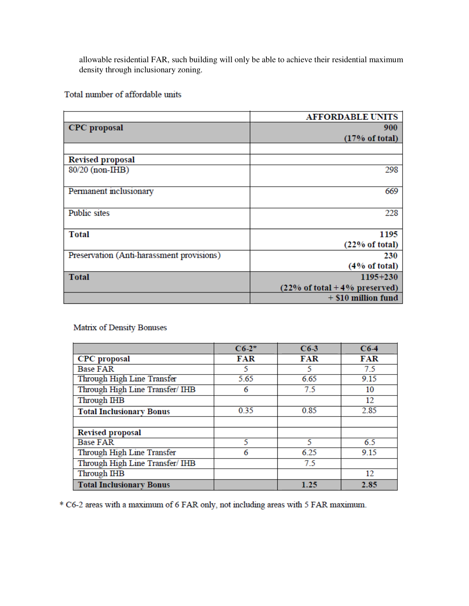allowable residential FAR, such building will only be able to achieve their residential maximum density through inclusionary zoning.

Total number of affordable units

|                                           | <b>AFFORDABLE UNITS</b>                           |
|-------------------------------------------|---------------------------------------------------|
| <b>CPC</b> proposal                       | 900                                               |
|                                           | (17% of total)                                    |
|                                           |                                                   |
| <b>Revised proposal</b>                   |                                                   |
| 80/20 (non-IHB)                           | 298                                               |
|                                           |                                                   |
| Permanent inclusionary                    | 669                                               |
|                                           |                                                   |
| <b>Public</b> sites                       | 228                                               |
|                                           |                                                   |
| <b>Total</b>                              | 1195                                              |
|                                           | (22% of total)                                    |
| Preservation (Anti-harassment provisions) | 230                                               |
|                                           | (4% of total)                                     |
| <b>Total</b>                              | $1195 + 230$                                      |
|                                           | $(22\% \text{ of total} + 4\% \text{ preserved})$ |
|                                           | $+$ \$10 million fund                             |

Matrix of Density Bonuses

|                                 | $C6-2*$    | $C6-3$     | $C6-4$     |
|---------------------------------|------------|------------|------------|
| <b>CPC</b> proposal             | <b>FAR</b> | <b>FAR</b> | <b>FAR</b> |
| <b>Base FAR</b>                 | 5          | 5          | 7.5        |
| Through High Line Transfer      | 5.65       | 6.65       | 9.15       |
| Through High Line Transfer/ IHB | 6          | 7.5        | 10         |
| Through IHB                     |            |            | 12         |
| <b>Total Inclusionary Bonus</b> | 0.35       | 0.85       | 2.85       |
|                                 |            |            |            |
| <b>Revised proposal</b>         |            |            |            |
| <b>Base FAR</b>                 | 5          | 5          | 6.5        |
| Through High Line Transfer      | 6          | 6.25       | 9.15       |
| Through High Line Transfer/ IHB |            | 7.5        |            |
| Through IHB                     |            |            | 12         |
| <b>Total Inclusionary Bonus</b> |            | 1.25       | 2.85       |

\* C6-2 areas with a maximum of 6 FAR only, not including areas with 5 FAR maximum.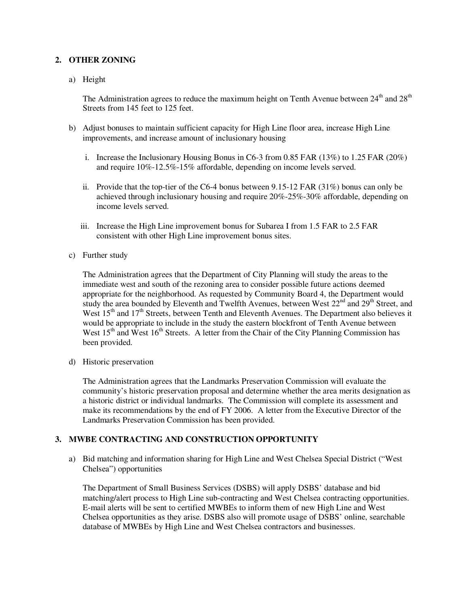# **2. OTHER ZONING**

a) Height

The Administration agrees to reduce the maximum height on Tenth Avenue between  $24<sup>th</sup>$  and  $28<sup>th</sup>$ Streets from 145 feet to 125 feet.

- b) Adjust bonuses to maintain sufficient capacity for High Line floor area, increase High Line improvements, and increase amount of inclusionary housing
	- i. Increase the Inclusionary Housing Bonus in  $C6-3$  from 0.85 FAR (13%) to 1.25 FAR (20%) and require 10%-12.5%-15% affordable, depending on income levels served.
	- ii. Provide that the top-tier of the C6-4 bonus between  $9.15$ -12 FAR (31%) bonus can only be achieved through inclusionary housing and require 20%-25%-30% affordable, depending on income levels served.
	- iii. Increase the High Line improvement bonus for Subarea I from 1.5 FAR to 2.5 FAR consistent with other High Line improvement bonus sites.
- c) Further study

The Administration agrees that the Department of City Planning will study the areas to the immediate west and south of the rezoning area to consider possible future actions deemed appropriate for the neighborhood. As requested by Community Board 4, the Department would study the area bounded by Eleventh and Twelfth Avenues, between West  $22<sup>nd</sup>$  and  $29<sup>th</sup>$  Street, and West 15<sup>th</sup> and 17<sup>th</sup> Streets, between Tenth and Eleventh Avenues. The Department also believes it would be appropriate to include in the study the eastern blockfront of Tenth Avenue between West  $15<sup>th</sup>$  and West  $16<sup>th</sup>$  Streets. A letter from the Chair of the City Planning Commission has been provided.

d) Historic preservation

The Administration agrees that the Landmarks Preservation Commission will evaluate the community's historic preservation proposal and determine whether the area merits designation as a historic district or individual landmarks. The Commission will complete its assessment and make its recommendations by the end of FY 2006. A letter from the Executive Director of the Landmarks Preservation Commission has been provided.

# **3. MWBE CONTRACTING AND CONSTRUCTION OPPORTUNITY**

a) Bid matching and information sharing for High Line and West Chelsea Special District ("West Chelsea") opportunities

The Department of Small Business Services (DSBS) will apply DSBS' database and bid matching/alert process to High Line sub-contracting and West Chelsea contracting opportunities. E-mail alerts will be sent to certified MWBEs to inform them of new High Line and West Chelsea opportunities as they arise. DSBS also will promote usage of DSBS' online, searchable database of MWBEs by High Line and West Chelsea contractors and businesses.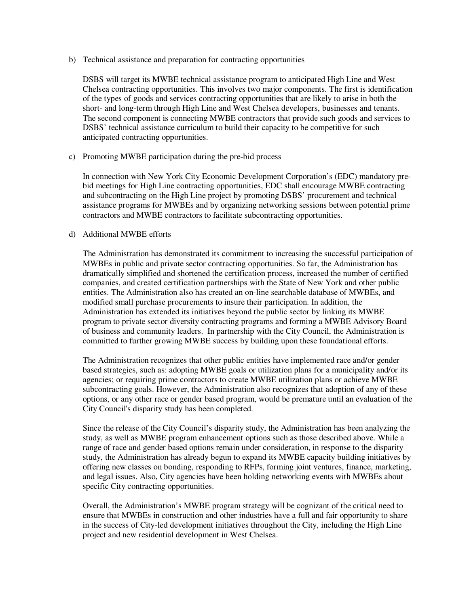b) Technical assistance and preparation for contracting opportunities

DSBS will target its MWBE technical assistance program to anticipated High Line and West Chelsea contracting opportunities. This involves two major components. The first is identification of the types of goods and services contracting opportunities that are likely to arise in both the short- and long-term through High Line and West Chelsea developers, businesses and tenants. The second component is connecting MWBE contractors that provide such goods and services to DSBS' technical assistance curriculum to build their capacity to be competitive for such anticipated contracting opportunities.

c) Promoting MWBE participation during the pre-bid process

In connection with New York City Economic Development Corporation's (EDC) mandatory prebid meetings for High Line contracting opportunities, EDC shall encourage MWBE contracting and subcontracting on the High Line project by promoting DSBS' procurement and technical assistance programs for MWBEs and by organizing networking sessions between potential prime contractors and MWBE contractors to facilitate subcontracting opportunities.

### d) Additional MWBE efforts

The Administration has demonstrated its commitment to increasing the successful participation of MWBEs in public and private sector contracting opportunities. So far, the Administration has dramatically simplified and shortened the certification process, increased the number of certified companies, and created certification partnerships with the State of New York and other public entities. The Administration also has created an on-line searchable database of MWBEs, and modified small purchase procurements to insure their participation. In addition, the Administration has extended its initiatives beyond the public sector by linking its MWBE program to private sector diversity contracting programs and forming a MWBE Advisory Board of business and community leaders. In partnership with the City Council, the Administration is committed to further growing MWBE success by building upon these foundational efforts.

The Administration recognizes that other public entities have implemented race and/or gender based strategies, such as: adopting MWBE goals or utilization plans for a municipality and/or its agencies; or requiring prime contractors to create MWBE utilization plans or achieve MWBE subcontracting goals. However, the Administration also recognizes that adoption of any of these options, or any other race or gender based program, would be premature until an evaluation of the City Council's disparity study has been completed.

Since the release of the City Council's disparity study, the Administration has been analyzing the study, as well as MWBE program enhancement options such as those described above. While a range of race and gender based options remain under consideration, in response to the disparity study, the Administration has already begun to expand its MWBE capacity building initiatives by offering new classes on bonding, responding to RFPs, forming joint ventures, finance, marketing, and legal issues. Also, City agencies have been holding networking events with MWBEs about specific City contracting opportunities.

Overall, the Administration's MWBE program strategy will be cognizant of the critical need to ensure that MWBEs in construction and other industries have a full and fair opportunity to share in the success of City-led development initiatives throughout the City, including the High Line project and new residential development in West Chelsea.